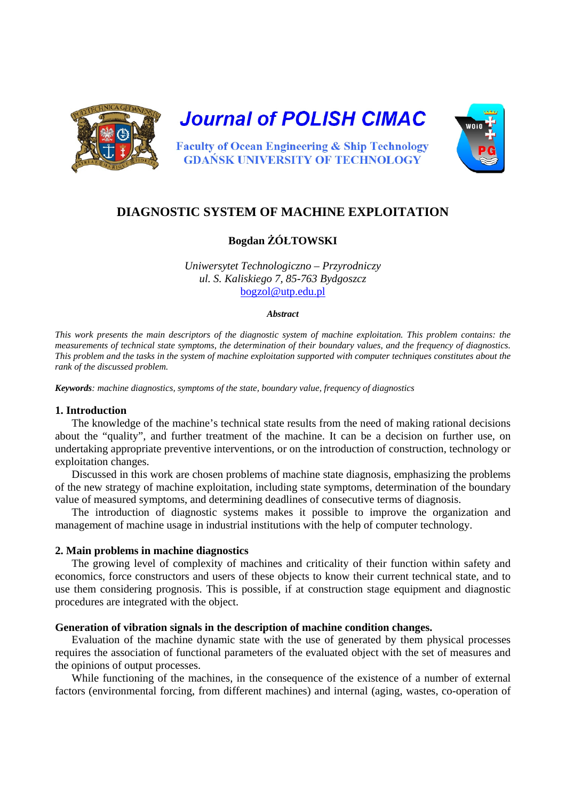

**Journal of POLISH CIMAC** 



**Faculty of Ocean Engineering & Ship Technology GDAŃSK UNIVERSITY OF TECHNOLOGY** 

# **DIAGNOSTIC SYSTEM OF MACHINE EXPLOITATION**

# **Bogdan ŻÓŁTOWSKI**

*Uniwersytet Technologiczno – Przyrodniczy ul. S. Kaliskiego 7, 85-763 Bydgoszcz*  bogzol@utp.edu.pl

#### *Abstract*

*This work presents the main descriptors of the diagnostic system of machine exploitation. This problem contains: the measurements of technical state symptoms, the determination of their boundary values, and the frequency of diagnostics. This problem and the tasks in the system of machine exploitation supported with computer techniques constitutes about the rank of the discussed problem.* 

*Keywords: machine diagnostics, symptoms of the state, boundary value, frequency of diagnostics* 

### **1. Introduction**

The knowledge of the machine's technical state results from the need of making rational decisions about the "quality", and further treatment of the machine. It can be a decision on further use, on undertaking appropriate preventive interventions, or on the introduction of construction, technology or exploitation changes.

Discussed in this work are chosen problems of machine state diagnosis, emphasizing the problems of the new strategy of machine exploitation, including state symptoms, determination of the boundary value of measured symptoms, and determining deadlines of consecutive terms of diagnosis.

The introduction of diagnostic systems makes it possible to improve the organization and management of machine usage in industrial institutions with the help of computer technology.

## **2. Main problems in machine diagnostics**

The growing level of complexity of machines and criticality of their function within safety and economics, force constructors and users of these objects to know their current technical state, and to use them considering prognosis. This is possible, if at construction stage equipment and diagnostic procedures are integrated with the object.

## **Generation of vibration signals in the description of machine condition changes.**

Evaluation of the machine dynamic state with the use of generated by them physical processes requires the association of functional parameters of the evaluated object with the set of measures and the opinions of output processes.

While functioning of the machines, in the consequence of the existence of a number of external factors (environmental forcing, from different machines) and internal (aging, wastes, co-operation of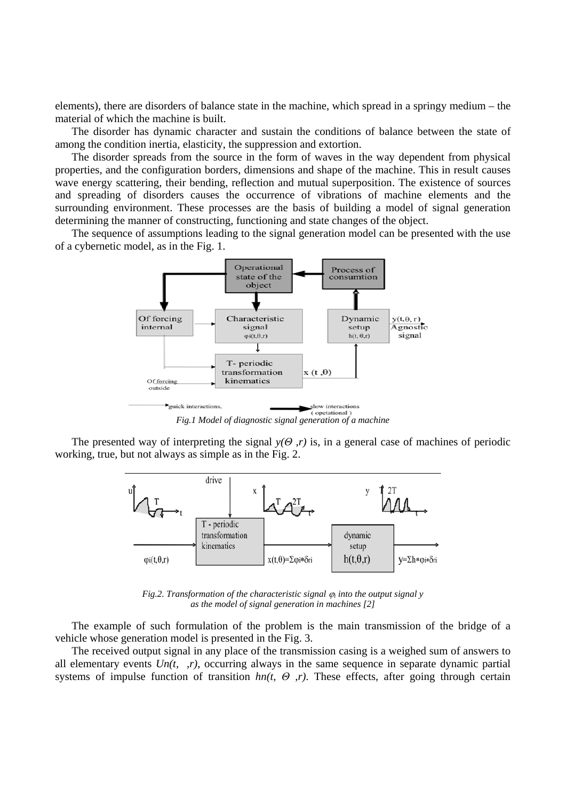elements), there are disorders of balance state in the machine, which spread in a springy medium – the material of which the machine is built.

The disorder has dynamic character and sustain the conditions of balance between the state of among the condition inertia, elasticity, the suppression and extortion.

The disorder spreads from the source in the form of waves in the way dependent from physical properties, and the configuration borders, dimensions and shape of the machine. This in result causes wave energy scattering, their bending, reflection and mutual superposition. The existence of sources and spreading of disorders causes the occurrence of vibrations of machine elements and the surrounding environment. These processes are the basis of building a model of signal generation determining the manner of constructing, functioning and state changes of the object.

The sequence of assumptions leading to the signal generation model can be presented with the use of a cybernetic model, as in the Fig. 1.



*Fig.1 Model of diagnostic signal generation of a machine* 

The presented way of interpreting the signal  $y(\theta, r)$  is, in a general case of machines of periodic working, true, but not always as simple as in the Fig. 2.



*Fig.2. Transformation of the characteristic signal*  $\varphi_i$  *into the output signal y as the model of signal generation in machines [2]* 

The example of such formulation of the problem is the main transmission of the bridge of a vehicle whose generation model is presented in the Fig. 3.

The received output signal in any place of the transmission casing is a weighed sum of answers to all elementary events  $Un(t, r)$ , occurring always in the same sequence in separate dynamic partial systems of impulse function of transition *hn(t, Θ ,r)*. These effects, after going through certain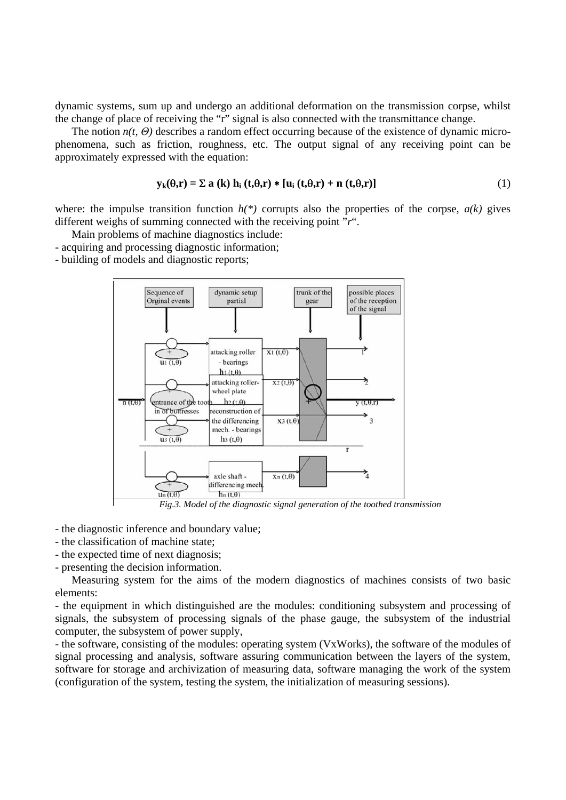dynamic systems, sum up and undergo an additional deformation on the transmission corpse, whilst the change of place of receiving the "r" signal is also connected with the transmittance change.

The notion *n(t, Θ)* describes a random effect occurring because of the existence of dynamic microphenomena, such as friction, roughness, etc. The output signal of any receiving point can be approximately expressed with the equation:

$$
\mathbf{y}_{k}(\theta,\mathbf{r}) = \Sigma \mathbf{a} \left( \mathbf{k} \right) \mathbf{h}_{i} \left( \mathbf{t}, \theta, \mathbf{r} \right) * \left[ \mathbf{u}_{i} \left( \mathbf{t}, \theta, \mathbf{r} \right) + \mathbf{n} \left( \mathbf{t}, \theta, \mathbf{r} \right) \right] \tag{1}
$$

where: the impulse transition function  $h(*)$  corrupts also the properties of the corpse,  $a(k)$  gives different weighs of summing connected with the receiving point "*r*".

Main problems of machine diagnostics include:

- acquiring and processing diagnostic information;
- building of models and diagnostic reports;



- the diagnostic inference and boundary value;
- the classification of machine state;
- the expected time of next diagnosis;
- presenting the decision information.

Measuring system for the aims of the modern diagnostics of machines consists of two basic elements:

- the equipment in which distinguished are the modules: conditioning subsystem and processing of signals, the subsystem of processing signals of the phase gauge, the subsystem of the industrial computer, the subsystem of power supply,

- the software, consisting of the modules: operating system (VxWorks), the software of the modules of signal processing and analysis, software assuring communication between the layers of the system, software for storage and archivization of measuring data, software managing the work of the system (configuration of the system, testing the system, the initialization of measuring sessions).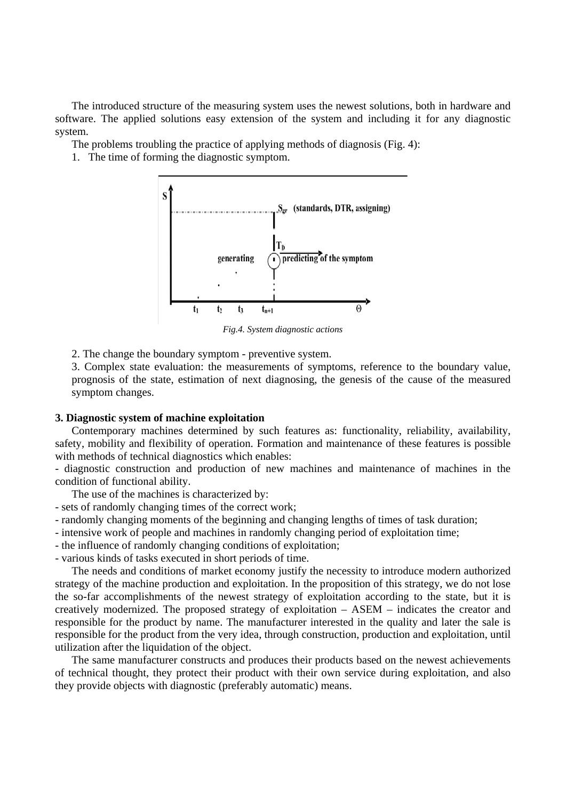The introduced structure of the measuring system uses the newest solutions, both in hardware and software. The applied solutions easy extension of the system and including it for any diagnostic system.

The problems troubling the practice of applying methods of diagnosis (Fig. 4):

1. The time of forming the diagnostic symptom.



*Fig.4. System diagnostic actions* 

2. The change the boundary symptom - preventive system.

3. Complex state evaluation: the measurements of symptoms, reference to the boundary value, prognosis of the state, estimation of next diagnosing, the genesis of the cause of the measured symptom changes.

#### **3. Diagnostic system of machine exploitation**

Contemporary machines determined by such features as: functionality, reliability, availability, safety, mobility and flexibility of operation. Formation and maintenance of these features is possible with methods of technical diagnostics which enables:

- diagnostic construction and production of new machines and maintenance of machines in the condition of functional ability.

The use of the machines is characterized by:

- sets of randomly changing times of the correct work;

- randomly changing moments of the beginning and changing lengths of times of task duration;

- intensive work of people and machines in randomly changing period of exploitation time;
- the influence of randomly changing conditions of exploitation;

- various kinds of tasks executed in short periods of time.

The needs and conditions of market economy justify the necessity to introduce modern authorized strategy of the machine production and exploitation. In the proposition of this strategy, we do not lose the so-far accomplishments of the newest strategy of exploitation according to the state, but it is creatively modernized. The proposed strategy of exploitation – ASEM – indicates the creator and responsible for the product by name. The manufacturer interested in the quality and later the sale is responsible for the product from the very idea, through construction, production and exploitation, until utilization after the liquidation of the object.

The same manufacturer constructs and produces their products based on the newest achievements of technical thought, they protect their product with their own service during exploitation, and also they provide objects with diagnostic (preferably automatic) means.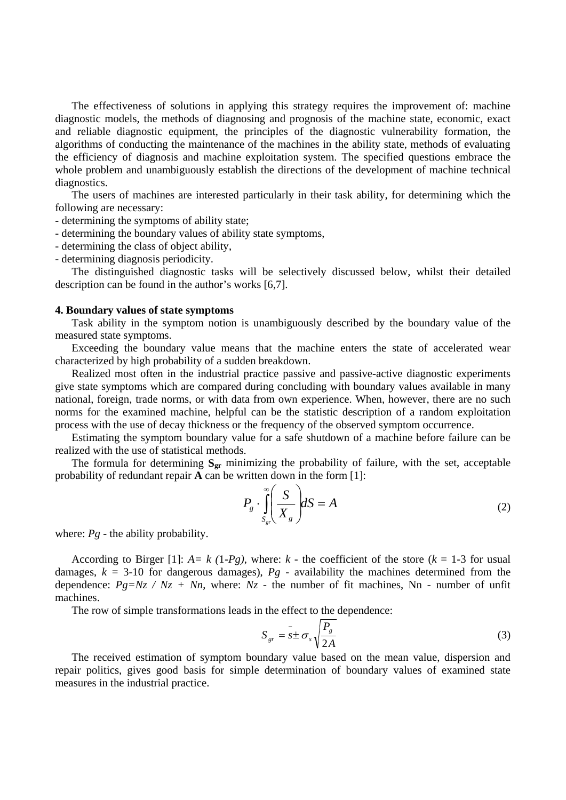The effectiveness of solutions in applying this strategy requires the improvement of: machine diagnostic models, the methods of diagnosing and prognosis of the machine state, economic, exact and reliable diagnostic equipment, the principles of the diagnostic vulnerability formation, the algorithms of conducting the maintenance of the machines in the ability state, methods of evaluating the efficiency of diagnosis and machine exploitation system. The specified questions embrace the whole problem and unambiguously establish the directions of the development of machine technical diagnostics.

The users of machines are interested particularly in their task ability, for determining which the following are necessary:

- determining the symptoms of ability state;

- determining the boundary values of ability state symptoms,

- determining the class of object ability,

- determining diagnosis periodicity.

The distinguished diagnostic tasks will be selectively discussed below, whilst their detailed description can be found in the author's works [6,7].

#### **4. Boundary values of state symptoms**

Task ability in the symptom notion is unambiguously described by the boundary value of the measured state symptoms.

Exceeding the boundary value means that the machine enters the state of accelerated wear characterized by high probability of a sudden breakdown.

Realized most often in the industrial practice passive and passive-active diagnostic experiments give state symptoms which are compared during concluding with boundary values available in many national, foreign, trade norms, or with data from own experience. When, however, there are no such norms for the examined machine, helpful can be the statistic description of a random exploitation process with the use of decay thickness or the frequency of the observed symptom occurrence.

Estimating the symptom boundary value for a safe shutdown of a machine before failure can be realized with the use of statistical methods.

The formula for determining  $S_{gr}$  minimizing the probability of failure, with the set, acceptable probability of redundant repair **A** can be written down in the form [1]:

$$
P_g \cdot \int_{S_{gr}}^{\infty} \left(\frac{S}{X_g}\right) dS = A \tag{2}
$$

where:  $Pg$  - the ability probability.

According to Birger [1]:  $A = k$  (1*-Pg*), where:  $k$  - the coefficient of the store ( $k = 1$ -3 for usual damages,  $k = 3\times10$  for dangerous damages),  $Pg$  - availability the machines determined from the dependence:  $Pg=Nz / Nz + Nn$ , where:  $Nz$  - the number of fit machines, Nn - number of unfit machines.

The row of simple transformations leads in the effect to the dependence:

$$
S_{gr} = s \pm \sigma_s \sqrt{\frac{P_s}{2A}}
$$
 (3)

The received estimation of symptom boundary value based on the mean value, dispersion and repair politics, gives good basis for simple determination of boundary values of examined state measures in the industrial practice.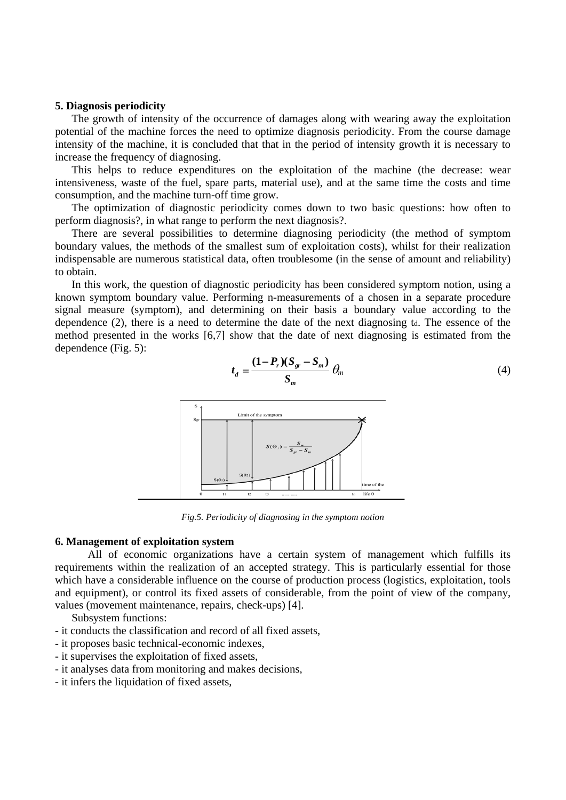#### **5. Diagnosis periodicity**

The growth of intensity of the occurrence of damages along with wearing away the exploitation potential of the machine forces the need to optimize diagnosis periodicity. From the course damage intensity of the machine, it is concluded that that in the period of intensity growth it is necessary to increase the frequency of diagnosing.

This helps to reduce expenditures on the exploitation of the machine (the decrease: wear intensiveness, waste of the fuel, spare parts, material use), and at the same time the costs and time consumption, and the machine turn-off time grow.

The optimization of diagnostic periodicity comes down to two basic questions: how often to perform diagnosis?, in what range to perform the next diagnosis?.

There are several possibilities to determine diagnosing periodicity (the method of symptom boundary values, the methods of the smallest sum of exploitation costs), whilst for their realization indispensable are numerous statistical data, often troublesome (in the sense of amount and reliability) to obtain.

In this work, the question of diagnostic periodicity has been considered symptom notion, using a known symptom boundary value. Performing n-measurements of a chosen in a separate procedure signal measure (symptom), and determining on their basis a boundary value according to the dependence  $(2)$ , there is a need to determine the date of the next diagnosing td. The essence of the method presented in the works [6,7] show that the date of next diagnosing is estimated from the dependence (Fig. 5):

 $P_r$ ) $(S_{gr} - S)$ 

 $r \mathcal{P} \mathcal{P}_{gr} - \mathcal{P}_{m}$ 

 $=\frac{(1-P_r)(S_{gr}-S_m)}{S} \theta_m$  (4)



*Fig.5. Periodicity of diagnosing in the symptom notion* 

## **6. Management of exploitation system**

*t*

All of economic organizations have a certain system of management which fulfills its requirements within the realization of an accepted strategy. This is particularly essential for those which have a considerable influence on the course of production process (logistics, exploitation, tools and equipment), or control its fixed assets of considerable, from the point of view of the company, values (movement maintenance, repairs, check-ups) [4].

Subsystem functions:

- it conducts the classification and record of all fixed assets,
- it proposes basic technical-economic indexes,
- it supervises the exploitation of fixed assets,
- it analyses data from monitoring and makes decisions,
- it infers the liquidation of fixed assets,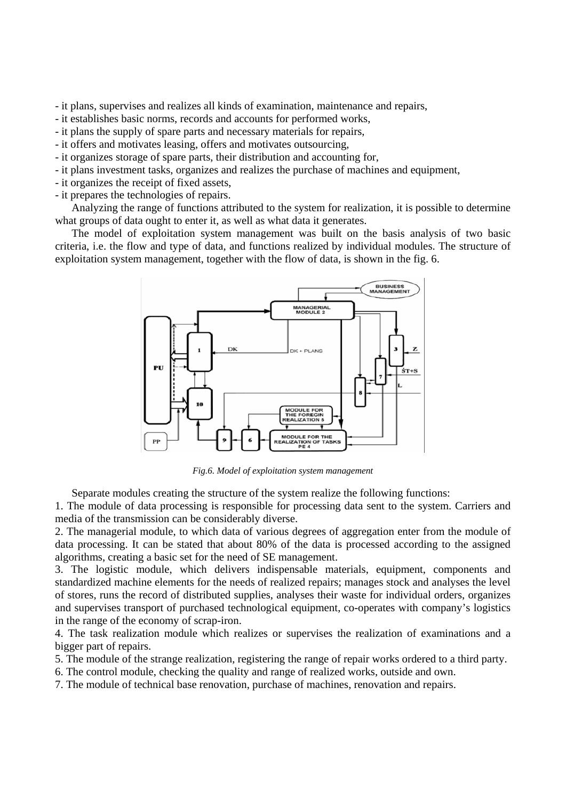- it plans, supervises and realizes all kinds of examination, maintenance and repairs,

- it establishes basic norms, records and accounts for performed works,
- it plans the supply of spare parts and necessary materials for repairs,
- it offers and motivates leasing, offers and motivates outsourcing,
- it organizes storage of spare parts, their distribution and accounting for,
- it plans investment tasks, organizes and realizes the purchase of machines and equipment,
- it organizes the receipt of fixed assets,
- it prepares the technologies of repairs.

Analyzing the range of functions attributed to the system for realization, it is possible to determine what groups of data ought to enter it, as well as what data it generates.

The model of exploitation system management was built on the basis analysis of two basic criteria, i.e. the flow and type of data, and functions realized by individual modules. The structure of exploitation system management, together with the flow of data, is shown in the fig. 6.



*Fig.6. Model of exploitation system management* 

Separate modules creating the structure of the system realize the following functions:

1. The module of data processing is responsible for processing data sent to the system. Carriers and media of the transmission can be considerably diverse.

2. The managerial module, to which data of various degrees of aggregation enter from the module of data processing. It can be stated that about 80% of the data is processed according to the assigned algorithms, creating a basic set for the need of SE management.

3. The logistic module, which delivers indispensable materials, equipment, components and standardized machine elements for the needs of realized repairs; manages stock and analyses the level of stores, runs the record of distributed supplies, analyses their waste for individual orders, organizes and supervises transport of purchased technological equipment, co-operates with company's logistics in the range of the economy of scrap-iron.

4. The task realization module which realizes or supervises the realization of examinations and a bigger part of repairs.

5. The module of the strange realization, registering the range of repair works ordered to a third party.

6. The control module, checking the quality and range of realized works, outside and own.

7. The module of technical base renovation, purchase of machines, renovation and repairs.